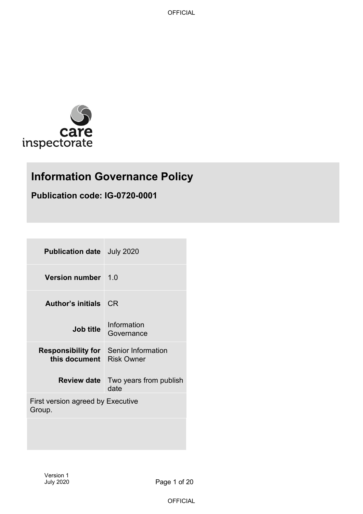

# **Information Governance Policy**

## **Publication code: IG-0720-0001**

| <b>Publication date</b> July 2020                             |                                                   |  |
|---------------------------------------------------------------|---------------------------------------------------|--|
| <b>Version number</b> 1.0                                     |                                                   |  |
| <b>Author's initials</b>                                      | -CR                                               |  |
| <b>Job title</b>                                              | Information<br>Governance                         |  |
| <b>Responsibility for</b> Senior Information<br>this document | <b>Risk Owner</b>                                 |  |
|                                                               | <b>Review date</b> Two years from publish<br>date |  |
| First version agreed by Executive<br>Group.                   |                                                   |  |
|                                                               |                                                   |  |

Page 1 of 20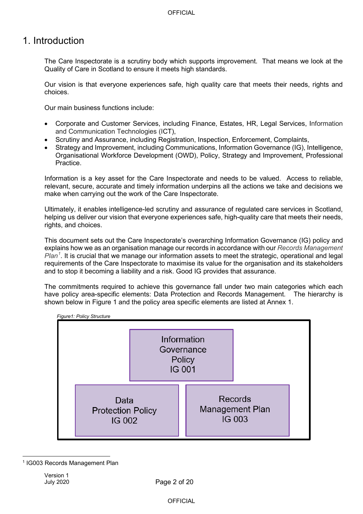## 1. Introduction

The Care Inspectorate is a scrutiny body which supports improvement. That means we look at the Quality of Care in Scotland to ensure it meets high standards.

Our vision is that everyone experiences safe, high quality care that meets their needs, rights and choices.

Our main business functions include:

- Corporate and Customer Services, including Finance, Estates, HR, Legal Services, Information and Communication Technologies (ICT),
- Scrutiny and Assurance, including Registration, Inspection, Enforcement, Complaints,
- Strategy and Improvement, including Communications, Information Governance (IG), Intelligence, Organisational Workforce Development (OWD), Policy, Strategy and Improvement, Professional Practice.

Information is a key asset for the Care Inspectorate and needs to be valued. Access to reliable, relevant, secure, accurate and timely information underpins all the actions we take and decisions we make when carrying out the work of the Care Inspectorate.

Ultimately, it enables intelligence-led scrutiny and assurance of regulated care services in Scotland, helping us deliver our vision that everyone experiences safe, high-quality care that meets their needs, rights, and choices.

This document sets out the Care Inspectorate's overarching Information Governance (IG) policy and explains how we as an organisation manage our records in accordance with our *Records Management Plan[1](#page-1-0)* . It is crucial that we manage our information assets to meet the strategic, operational and legal requirements of the Care Inspectorate to maximise its value for the organisation and its stakeholders and to stop it becoming a liability and a risk. Good IG provides that assurance.

The commitments required to achieve this governance fall under two main categories which each have policy area-specific elements: Data Protection and Records Management. The hierarchy is shown below in Figure 1 and the policy area specific elements are listed at Annex 1.



<span id="page-1-0"></span><sup>1</sup> IG003 Records Management Plan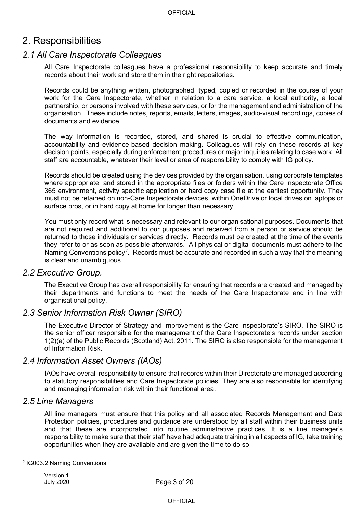## 2. Responsibilities

### *2.1 All Care Inspectorate Colleagues*

All Care Inspectorate colleagues have a professional responsibility to keep accurate and timely records about their work and store them in the right repositories.

Records could be anything written, photographed, typed, copied or recorded in the course of your work for the Care Inspectorate, whether in relation to a care service, a local authority, a local partnership, or persons involved with these services, or for the management and administration of the organisation. These include notes, reports, emails, letters, images, audio-visual recordings, copies of documents and evidence.

The way information is recorded, stored, and shared is crucial to effective communication, accountability and evidence-based decision making. Colleagues will rely on these records at key decision points, especially during enforcement procedures or major inquiries relating to case work. All staff are accountable, whatever their level or area of responsibility to comply with IG policy.

Records should be created using the devices provided by the organisation, using corporate templates where appropriate, and stored in the appropriate files or folders within the Care Inspectorate Office 365 environment, activity specific application or hard copy case file at the earliest opportunity. They must not be retained on non-Care Inspectorate devices, within OneDrive or local drives on laptops or surface pros, or in hard copy at home for longer than necessary.

You must only record what is necessary and relevant to our organisational purposes. Documents that are not required and additional to our purposes and received from a person or service should be returned to those individuals or services directly. Records must be created at the time of the events they refer to or as soon as possible afterwards. All physical or digital documents must adhere to the Naming Conventions policy<sup>[2](#page-2-0)</sup>. Records must be accurate and recorded in such a way that the meaning is clear and unambiguous.

### *2.2 Executive Group.*

The Executive Group has overall responsibility for ensuring that records are created and managed by their departments and functions to meet the needs of the Care Inspectorate and in line with organisational policy.

### *2.3 Senior Information Risk Owner (SIRO)*

The Executive Director of Strategy and Improvement is the Care Inspectorate's SIRO. The SIRO is the senior officer responsible for the management of the Care Inspectorate's records under section 1(2)(a) of the Public Records (Scotland) Act, 2011. The SIRO is also responsible for the management of Information Risk.

### *2.4 Information Asset Owners (IAOs)*

IAOs have overall responsibility to ensure that records within their Directorate are managed according to statutory responsibilities and Care Inspectorate policies. They are also responsible for identifying and managing information risk within their functional area.

### *2.5 Line Managers*

All line managers must ensure that this policy and all associated Records Management and Data Protection policies, procedures and guidance are understood by all staff within their business units and that these are incorporated into routine administrative practices. It is a line manager's responsibility to make sure that their staff have had adequate training in all aspects of IG, take training opportunities when they are available and are given the time to do so.

<span id="page-2-0"></span><sup>2</sup> IG003.2 Naming Conventions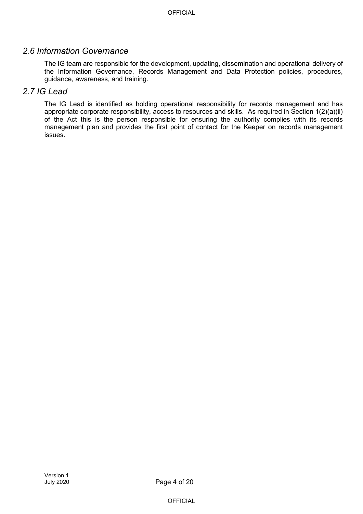## *2.6 Information Governance*

The IG team are responsible for the development, updating, dissemination and operational delivery of the Information Governance, Records Management and Data Protection policies, procedures, guidance, awareness, and training.

## *2.7 IG Lead*

The IG Lead is identified as holding operational responsibility for records management and has appropriate corporate responsibility, access to resources and skills. As required in Section 1(2)(a)(ii) of the Act this is the person responsible for ensuring the authority complies with its records management plan and provides the first point of contact for the Keeper on records management issues.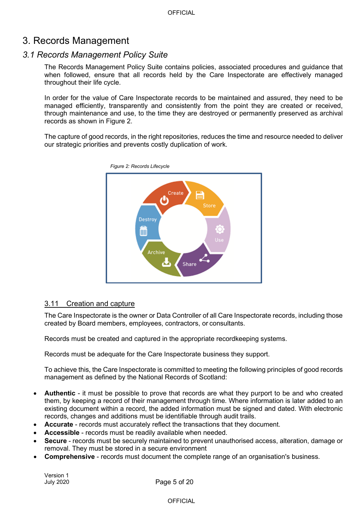## 3. Records Management

## *3.1 Records Management Policy Suite*

The Records Management Policy Suite contains policies, associated procedures and guidance that when followed, ensure that all records held by the Care Inspectorate are effectively managed throughout their life cycle.

In order for the value of Care Inspectorate records to be maintained and assured, they need to be managed efficiently, transparently and consistently from the point they are created or received, through maintenance and use, to the time they are destroyed or permanently preserved as archival records as shown in Figure 2.

The capture of good records, in the right repositories, reduces the time and resource needed to deliver our strategic priorities and prevents costly duplication of work.



#### 3.11 Creation and capture

The Care Inspectorate is the owner or Data Controller of all Care Inspectorate records, including those created by Board members, employees, contractors, or consultants.

Records must be created and captured in the appropriate recordkeeping systems.

Records must be adequate for the Care Inspectorate business they support.

To achieve this, the Care Inspectorate is committed to meeting the following principles of good records management as defined by the National Records of Scotland:

- **Authentic** it must be possible to prove that records are what they purport to be and who created them, by keeping a record of their management through time. Where information is later added to an existing document within a record, the added information must be signed and dated. With electronic records, changes and additions must be identifiable through audit trails.
- **Accurate** records must accurately reflect the transactions that they document.
- **Accessible** records must be readily available when needed.
- **Secure** records must be securely maintained to prevent unauthorised access, alteration, damage or removal. They must be stored in a secure environment
- **Comprehensive**  records must document the complete range of an organisation's business.

Version 1 July 2020

Page 5 of 20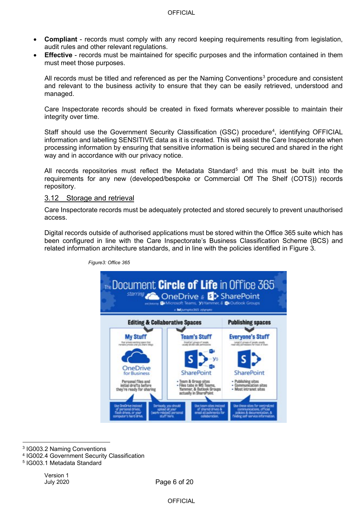- **Compliant** records must comply with any record keeping requirements resulting from legislation, audit rules and other relevant regulations.
- **Effective** records must be maintained for specific purposes and the information contained in them must meet those purposes.

All records must be titled and referenced as per the Naming Conventions<sup>[3](#page-5-0)</sup> procedure and consistent and relevant to the business activity to ensure that they can be easily retrieved, understood and managed.

Care Inspectorate records should be created in fixed formats wherever possible to maintain their integrity over time.

Staff should use the Government Security Classification (GSC) procedure<sup>[4](#page-5-1)</sup>, identifying OFFICIAL information and labelling SENSITIVE data as it is created. This will assist the Care Inspectorate when processing information by ensuring that sensitive information is being secured and shared in the right way and in accordance with our privacy notice.

All records repositories must reflect the Metadata Standard<sup>5</sup> and this must be built into the requirements for any new (developed/bespoke or Commercial Off The Shelf (COTS)) records repository.

#### 3.12 Storage and retrieval

Care Inspectorate records must be adequately protected and stored securely to prevent unauthorised access.

Digital records outside of authorised applications must be stored within the Office 365 suite which has been configured in line with the Care Inspectorate's Business Classification Scheme (BCS) and related information architecture standards, and in line with the policies identified in Figure 3.



*Figure3: Office 365*

<span id="page-5-0"></span><sup>3</sup> IG003.2 Naming Conventions

<span id="page-5-1"></span><sup>4</sup> IG002.4 Government Security Classification

<span id="page-5-2"></span><sup>5</sup> IG003.1 Metadata Standard

Page 6 of 20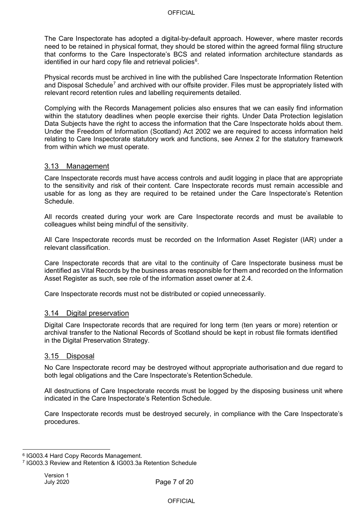The Care Inspectorate has adopted a digital-by-default approach. However, where master records need to be retained in physical format, they should be stored within the agreed formal filing structure that conforms to the Care Inspectorate's BCS and related information architecture standards as identified in our hard copy file and retrieval policies $^6$  $^6$ .

Physical records must be archived in line with the published Care Inspectorate Information Retention and Disposal Schedule<sup>[7](#page-6-1)</sup> and archived with our offsite provider. Files must be appropriately listed with relevant record retention rules and labelling requirements detailed.

Complying with the Records Management policies also ensures that we can easily find information within the statutory deadlines when people exercise their rights. Under Data Protection legislation Data Subjects have the right to access the information that the Care Inspectorate holds about them. Under the Freedom of Information (Scotland) Act 2002 we are required to access information held relating to Care Inspectorate statutory work and functions, see Annex 2 for the statutory framework from within which we must operate.

#### 3.13 Management

Care Inspectorate records must have access controls and audit logging in place that are appropriate to the sensitivity and risk of their content. Care Inspectorate records must remain accessible and usable for as long as they are required to be retained under the Care Inspectorate's Retention Schedule.

All records created during your work are Care Inspectorate records and must be available to colleagues whilst being mindful of the sensitivity.

All Care Inspectorate records must be recorded on the Information Asset Register (IAR) under a relevant classification.

Care Inspectorate records that are vital to the continuity of Care Inspectorate business must be identified as Vital Records by the business areas responsible for them and recorded on the Information Asset Register as such, see role of the information asset owner at 2.4.

Care Inspectorate records must not be distributed or copied unnecessarily.

#### 3.14 Digital preservation

Digital Care Inspectorate records that are required for long term (ten years or more) retention or archival transfer to the National Records of Scotland should be kept in robust file formats identified in the Digital Preservation Strategy.

#### 3.15 Disposal

No Care Inspectorate record may be destroyed without appropriate authorisation and due regard to both legal obligations and the Care Inspectorate's Retention Schedule.

All destructions of Care Inspectorate records must be logged by the disposing business unit where indicated in the Care Inspectorate's Retention Schedule.

Care Inspectorate records must be destroyed securely, in compliance with the Care Inspectorate's procedures.

<span id="page-6-0"></span><sup>6</sup> IG003.4 Hard Copy Records Management.

<span id="page-6-1"></span><sup>7</sup> IG003.3 Review and Retention & IG003.3a Retention Schedule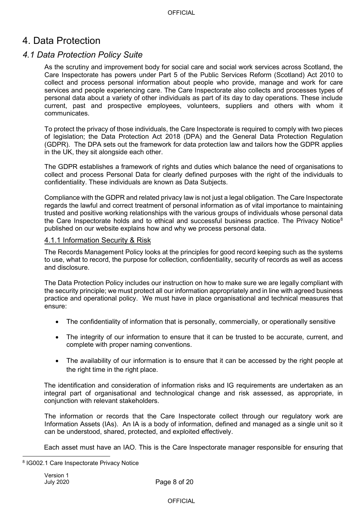## 4. Data Protection

### *4.1 Data Protection Policy Suite*

As the scrutiny and improvement body for social care and social work services across Scotland, the Care Inspectorate has powers under Part 5 of the Public Services Reform (Scotland) Act 2010 to collect and process personal information about people who provide, manage and work for care services and people experiencing care. The Care Inspectorate also collects and processes types of personal data about a variety of other individuals as part of its day to day operations. These include current, past and prospective employees, volunteers, suppliers and others with whom it communicates.

To protect the privacy of those individuals, the Care Inspectorate is required to comply with two pieces of legislation; the Data Protection Act 2018 (DPA) and the General Data Protection Regulation (GDPR). The DPA sets out the framework for data protection law and tailors how the GDPR applies in the UK, they sit alongside each other.

The GDPR establishes a framework of rights and duties which balance the need of organisations to collect and process Personal Data for clearly defined purposes with the right of the individuals to confidentiality. These individuals are known as Data Subjects.

Compliance with the GDPR and related privacy law is not just a legal obligation. The Care Inspectorate regards the lawful and correct treatment of personal information as of vital importance to maintaining trusted and positive working relationships with the various groups of individuals whose personal data the Care Inspectorate holds and to ethical and successful business practice. The Privacy Notice $^8$  $^8$ published on our website explains how and why we process personal data.

#### 4.1.1 Information Security & Risk

The Records Management Policy looks at the principles for good record keeping such as the systems to use, what to record, the purpose for collection, confidentiality, security of records as well as access and disclosure.

The Data Protection Policy includes our instruction on how to make sure we are legally compliant with the security principle; we must protect all our information appropriately and in line with agreed business practice and operational policy. We must have in place organisational and technical measures that ensure:

- The confidentiality of information that is personally, commercially, or operationally sensitive
- The integrity of our information to ensure that it can be trusted to be accurate, current, and complete with proper naming conventions.
- The availability of our information is to ensure that it can be accessed by the right people at the right time in the right place.

The identification and consideration of information risks and IG requirements are undertaken as an integral part of organisational and technological change and risk assessed, as appropriate, in conjunction with relevant stakeholders.

The information or records that the Care Inspectorate collect through our regulatory work are Information Assets (IAs). An IA is a body of information, defined and managed as a single unit so it can be understood, shared, protected, and exploited effectively.

Each asset must have an IAO. This is the Care Inspectorate manager responsible for ensuring that

<span id="page-7-0"></span><sup>8</sup> IG002.1 Care Inspectorate Privacy Notice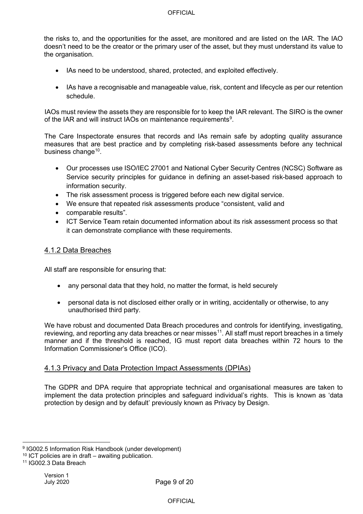the risks to, and the opportunities for the asset, are monitored and are listed on the IAR. The IAO doesn't need to be the creator or the primary user of the asset, but they must understand its value to the organisation.

- IAs need to be understood, shared, protected, and exploited effectively.
- IAs have a recognisable and manageable value, risk, content and lifecycle as per our retention schedule.

IAOs must review the assets they are responsible for to keep the IAR relevant. The SIRO is the owner of the IAR and will instruct IAOs on maintenance requirements $^9$  $^9$ .

The Care Inspectorate ensures that records and IAs remain safe by adopting quality assurance measures that are best practice and by completing risk-based assessments before any technical business change<sup>10</sup>.

- Our processes use ISO/IEC 27001 and National Cyber Security Centres (NCSC) Software as Service security principles for guidance in defining an asset-based risk-based approach to information security.
- The risk assessment process is triggered before each new digital service.
- We ensure that repeated risk assessments produce "consistent, valid and
- comparable results".
- ICT Service Team retain documented information about its risk assessment process so that it can demonstrate compliance with these requirements.

#### 4.1.2 Data Breaches

All staff are responsible for ensuring that:

- any personal data that they hold, no matter the format, is held securely
- personal data is not disclosed either orally or in writing, accidentally or otherwise, to any unauthorised third party.

We have robust and documented Data Breach procedures and controls for identifying, investigating, reviewing, and reporting any data breaches or near misses<sup>11</sup>. All staff must report breaches in a timely manner and if the threshold is reached, IG must report data breaches within 72 hours to the Information Commissioner's Office (ICO).

#### 4.1.3 Privacy and Data Protection Impact Assessments (DPIAs)

The GDPR and DPA require that appropriate technical and organisational measures are taken to implement the data protection principles and safeguard individual's rights. This is known as 'data protection by design and by default' previously known as Privacy by Design.

<span id="page-8-0"></span><sup>9</sup> IG002.5 Information Risk Handbook (under development)

<span id="page-8-1"></span> $10$  ICT policies are in draft – awaiting publication.

<span id="page-8-2"></span><sup>11</sup> IG002.3 Data Breach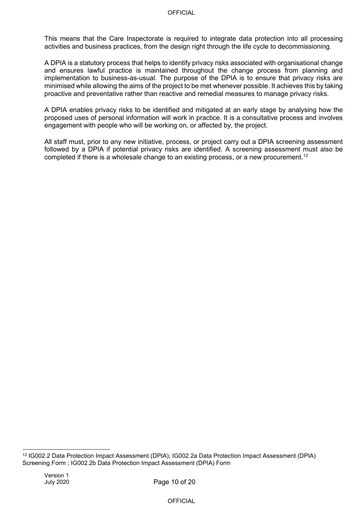This means that the Care Inspectorate is required to integrate data protection into all processing activities and business practices, from the design right through the life cycle to decommissioning.

A DPIA is a statutory process that helps to identify privacy risks associated with organisational change and ensures lawful practice is maintained throughout the change process from planning and implementation to business-as-usual. The purpose of the DPIA is to ensure that privacy risks are minimised while allowing the aims of the project to be met whenever possible. It achieves this by taking proactive and preventative rather than reactive and remedial measures to manage privacy risks.

A DPIA enables privacy risks to be identified and mitigated at an early stage by analysing how the proposed uses of personal information will work in practice. It is a consultative process and involves engagement with people who will be working on, or affected by, the project.

All staff must, prior to any new initiative, process, or project carry out a DPIA screening assessment followed by a DPIA if potential privacy risks are identified. A screening assessment must also be completed if there is a wholesale change to an existing process, or a new procurement.<sup>[12](#page-9-0)</sup>

<span id="page-9-0"></span><sup>12</sup> IG002.2 Data Protection Impact Assessment (DPIA); IG002.2a Data Protection Impact Assessment (DPIA) Screening Form ; IG002.2b Data Protection Impact Assessment (DPIA) Form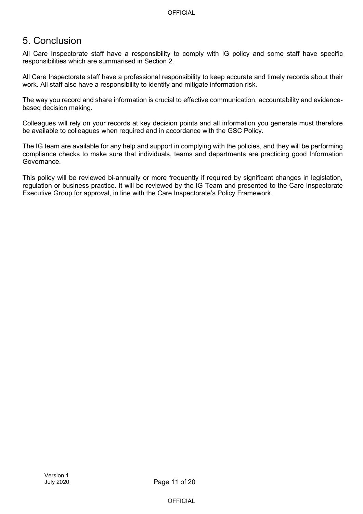## 5. Conclusion

All Care Inspectorate staff have a responsibility to comply with IG policy and some staff have specific responsibilities which are summarised in Section 2.

All Care Inspectorate staff have a professional responsibility to keep accurate and timely records about their work. All staff also have a responsibility to identify and mitigate information risk.

The way you record and share information is crucial to effective communication, accountability and evidencebased decision making.

Colleagues will rely on your records at key decision points and all information you generate must therefore be available to colleagues when required and in accordance with the GSC Policy.

The IG team are available for any help and support in complying with the policies, and they will be performing compliance checks to make sure that individuals, teams and departments are practicing good Information Governance.

This policy will be reviewed bi-annually or more frequently if required by significant changes in legislation, regulation or business practice. It will be reviewed by the IG Team and presented to the Care Inspectorate Executive Group for approval, in line with the Care Inspectorate's Policy Framework.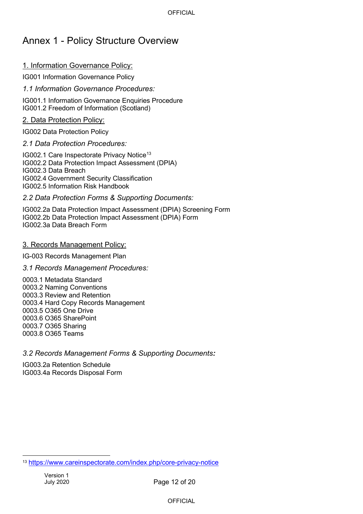## Annex 1 - Policy Structure Overview

### 1. Information Governance Policy:

IG001 Information Governance Policy

*1.1 Information Governance Procedures:* 

IG001.1 Information Governance Enquiries Procedure IG001.2 Freedom of Information (Scotland)

2. Data Protection Policy:

IG002 Data Protection Policy

#### *2.1 Data Protection Procedures:*

IG002.1 Care Inspectorate Privacy Notice<sup>13</sup> IG002.2 Data Protection Impact Assessment (DPIA) IG002.3 Data Breach IG002.4 Government Security Classification IG002.5 Information Risk Handbook

#### *2.2 Data Protection Forms & Supporting Documents:*

IG002.2a Data Protection Impact Assessment (DPIA) Screening Form IG002.2b Data Protection Impact Assessment (DPIA) Form IG002.3a Data Breach Form

#### 3. Records Management Policy:

IG-003 Records Management Plan

#### *3.1 Records Management Procedures:*

0003.1 Metadata Standard 0003.2 Naming Conventions 0003.3 Review and Retention 0003.4 Hard Copy Records Management 0003.5 O365 One Drive 0003.6 O365 SharePoint 0003.7 O365 Sharing 0003.8 O365 Teams

#### *3.2 Records Management Forms & Supporting Documents:*

IG003.2a Retention Schedule IG003.4a Records Disposal Form

<span id="page-11-0"></span><sup>13</sup> <https://www.careinspectorate.com/index.php/core-privacy-notice>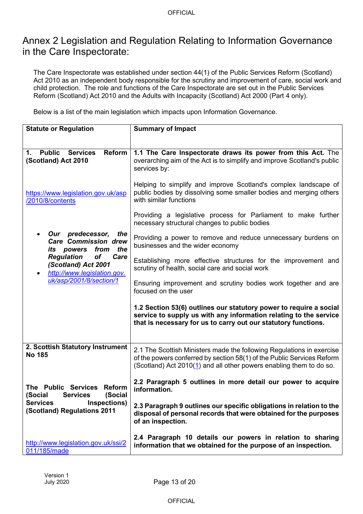## Annex 2 Legislation and Regulation Relating to Information Governance in the Care Inspectorate:

The Care Inspectorate was established under section 44(1) of the Public Services Reform (Scotland) Act 2010 as an independent body responsible for the scrutiny and improvement of care, social work and child protection. The role and functions of the Care Inspectorate are set out in the Public Services Reform (Scotland) Act 2010 and the Adults with Incapacity (Scotland) Act 2000 (Part 4 only).

Below is a list of the main legislation which impacts upon Information Governance.

| <b>Statute or Regulation</b>                                                                 | <b>Summary of Impact</b>                                                                                                                                                                                               |
|----------------------------------------------------------------------------------------------|------------------------------------------------------------------------------------------------------------------------------------------------------------------------------------------------------------------------|
|                                                                                              |                                                                                                                                                                                                                        |
| <b>Public</b><br><b>Reform</b><br><b>Services</b><br>$\mathbf 1$ .<br>(Scotland) Act 2010    | 1.1 The Care Inspectorate draws its power from this Act. The<br>overarching aim of the Act is to simplify and improve Scotland's public<br>services by:                                                                |
| https://www.legislation.gov.uk/asp<br>/2010/8/contents                                       | Helping to simplify and improve Scotland's complex landscape of<br>public bodies by dissolving some smaller bodies and merging others<br>with similar functions                                                        |
|                                                                                              | Providing a legislative process for Parliament to make further<br>necessary structural changes to public bodies                                                                                                        |
| Our predecessor,<br>the<br><b>Care Commission drew</b><br>the<br>from<br><i>its</i> powers   | Providing a power to remove and reduce unnecessary burdens on<br>businesses and the wider economy                                                                                                                      |
| <b>Regulation</b><br><b>of</b><br>Care<br>(Scotland) Act 2001<br>http://www.legislation.gov. | Establishing more effective structures for the improvement and<br>scrutiny of health, social care and social work                                                                                                      |
| uk/asp/2001/8/section/1                                                                      | Ensuring improvement and scrutiny bodies work together and are<br>focused on the user                                                                                                                                  |
|                                                                                              | 1.2 Section 53(6) outlines our statutory power to require a social<br>service to supply us with any information relating to the service<br>that is necessary for us to carry out our statutory functions.              |
| 2. Scottish Statutory Instrument<br><b>No 185</b>                                            | 2.1 The Scottish Ministers made the following Regulations in exercise<br>of the powers conferred by section 58(1) of the Public Services Reform<br>(Scotland) Act 2010(1) and all other powers enabling them to do so. |
| The Public Services<br><b>Reform</b><br>(Social<br>(Social<br><b>Services</b>                | 2.2 Paragraph 5 outlines in more detail our power to acquire<br>information.                                                                                                                                           |
| Inspections)<br><b>Services</b><br>(Scotland) Regulations 2011                               | 2.3 Paragraph 9 outlines our specific obligations in relation to the<br>disposal of personal records that were obtained for the purposes<br>of an inspection.                                                          |
| http://www.legislation.gov.uk/ssi/2<br>011/185/made                                          | 2.4 Paragraph 10 details our powers in relation to sharing<br>information that we obtained for the purpose of an inspection.                                                                                           |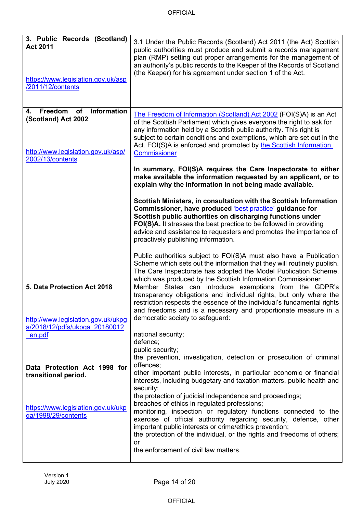| 3. Public Records (Scotland)<br><b>Act 2011</b><br>https://www.legislation.gov.uk/asp<br>/2011/12/contents          | 3.1 Under the Public Records (Scotland) Act 2011 (the Act) Scottish<br>public authorities must produce and submit a records management<br>plan (RMP) setting out proper arrangements for the management of<br>an authority's public records to the Keeper of the Records of Scotland<br>(the Keeper) for his agreement under section 1 of the Act.                                          |
|---------------------------------------------------------------------------------------------------------------------|---------------------------------------------------------------------------------------------------------------------------------------------------------------------------------------------------------------------------------------------------------------------------------------------------------------------------------------------------------------------------------------------|
| Freedom<br>Information<br>of<br>4.<br>(Scotland) Act 2002<br>http://www.legislation.gov.uk/asp/<br>2002/13/contents | The Freedom of Information (Scotland) Act 2002 (FOI(S)A) is an Act<br>of the Scottish Parliament which gives everyone the right to ask for<br>any information held by a Scottish public authority. This right is<br>subject to certain conditions and exemptions, which are set out in the<br>Act. FOI(S)A is enforced and promoted by the Scottish Information<br><b>Commissioner</b>      |
|                                                                                                                     | In summary, FOI(S)A requires the Care Inspectorate to either<br>make available the information requested by an applicant, or to<br>explain why the information in not being made available.                                                                                                                                                                                                 |
|                                                                                                                     | Scottish Ministers, in consultation with the Scottish Information<br>Commissioner, have produced 'best practice' guidance for<br>Scottish public authorities on discharging functions under<br>FOI(S)A. It stresses the best practice to be followed in providing<br>advice and assistance to requesters and promotes the importance of<br>proactively publishing information.              |
|                                                                                                                     | Public authorities subject to FOI(S)A must also have a Publication<br>Scheme which sets out the information that they will routinely publish.<br>The Care Inspectorate has adopted the Model Publication Scheme,<br>which was produced by the Scottish Information Commissioner.                                                                                                            |
| 5. Data Protection Act 2018<br>http://www.legislation.gov.uk/ukpg                                                   | Member States can introduce exemptions from the GDPR's<br>transparency obligations and individual rights, but only where the<br>restriction respects the essence of the individual's fundamental rights<br>and freedoms and is a necessary and proportionate measure in a<br>democratic society to safeguard:                                                                               |
| a/2018/12/pdfs/ukpga 20180012<br>en.pdf                                                                             | national security;<br>defence;<br>public security;<br>the prevention, investigation, detection or prosecution of criminal                                                                                                                                                                                                                                                                   |
| Data Protection Act 1998 for<br>transitional period.                                                                | offences;<br>other important public interests, in particular economic or financial<br>interests, including budgetary and taxation matters, public health and<br>security;                                                                                                                                                                                                                   |
| https://www.legislation.gov.uk/ukp<br>ga/1998/29/contents                                                           | the protection of judicial independence and proceedings;<br>breaches of ethics in regulated professions;<br>monitoring, inspection or regulatory functions connected to the<br>exercise of official authority regarding security, defence, other<br>important public interests or crime/ethics prevention;<br>the protection of the individual, or the rights and freedoms of others;<br>or |
|                                                                                                                     | the enforcement of civil law matters.                                                                                                                                                                                                                                                                                                                                                       |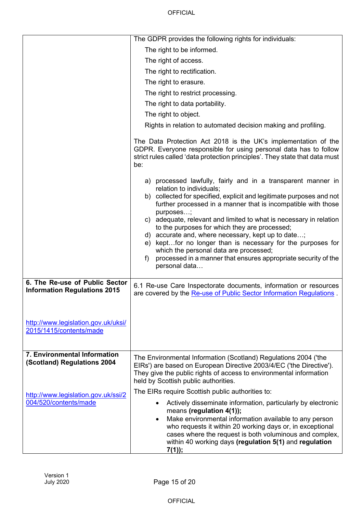|                                                                       | The GDPR provides the following rights for individuals:                                                                                                                                                                                                                                                                                                                                                                                                                                                                                                                                                                          |
|-----------------------------------------------------------------------|----------------------------------------------------------------------------------------------------------------------------------------------------------------------------------------------------------------------------------------------------------------------------------------------------------------------------------------------------------------------------------------------------------------------------------------------------------------------------------------------------------------------------------------------------------------------------------------------------------------------------------|
|                                                                       | The right to be informed.                                                                                                                                                                                                                                                                                                                                                                                                                                                                                                                                                                                                        |
|                                                                       | The right of access.                                                                                                                                                                                                                                                                                                                                                                                                                                                                                                                                                                                                             |
|                                                                       | The right to rectification.                                                                                                                                                                                                                                                                                                                                                                                                                                                                                                                                                                                                      |
|                                                                       | The right to erasure.                                                                                                                                                                                                                                                                                                                                                                                                                                                                                                                                                                                                            |
|                                                                       | The right to restrict processing.                                                                                                                                                                                                                                                                                                                                                                                                                                                                                                                                                                                                |
|                                                                       | The right to data portability.                                                                                                                                                                                                                                                                                                                                                                                                                                                                                                                                                                                                   |
|                                                                       | The right to object.                                                                                                                                                                                                                                                                                                                                                                                                                                                                                                                                                                                                             |
|                                                                       | Rights in relation to automated decision making and profiling.                                                                                                                                                                                                                                                                                                                                                                                                                                                                                                                                                                   |
|                                                                       | The Data Protection Act 2018 is the UK's implementation of the<br>GDPR. Everyone responsible for using personal data has to follow<br>strict rules called 'data protection principles'. They state that data must<br>be:                                                                                                                                                                                                                                                                                                                                                                                                         |
|                                                                       | a) processed lawfully, fairly and in a transparent manner in<br>relation to individuals;<br>b) collected for specified, explicit and legitimate purposes and not<br>further processed in a manner that is incompatible with those<br>purposes;<br>c) adequate, relevant and limited to what is necessary in relation<br>to the purposes for which they are processed;<br>d) accurate and, where necessary, kept up to date;<br>e) keptfor no longer than is necessary for the purposes for<br>which the personal data are processed;<br>processed in a manner that ensures appropriate security of the<br>$f$ )<br>personal data |
| 6. The Re-use of Public Sector<br><b>Information Regulations 2015</b> | 6.1 Re-use Care Inspectorate documents, information or resources<br>are covered by the Re-use of Public Sector Information Regulations.                                                                                                                                                                                                                                                                                                                                                                                                                                                                                          |
| http://www.legislation.gov.uk/uksi/<br>2015/1415/contents/made        |                                                                                                                                                                                                                                                                                                                                                                                                                                                                                                                                                                                                                                  |
| 7. Environmental Information<br>(Scotland) Regulations 2004           | The Environmental Information (Scotland) Regulations 2004 ('the<br>EIRs') are based on European Directive 2003/4/EC ('the Directive').<br>They give the public rights of access to environmental information<br>held by Scottish public authorities.                                                                                                                                                                                                                                                                                                                                                                             |
| http://www.legislation.gov.uk/ssi/2                                   | The EIRs require Scottish public authorities to:                                                                                                                                                                                                                                                                                                                                                                                                                                                                                                                                                                                 |
| 004/520/contents/made                                                 | Actively disseminate information, particularly by electronic<br>means (regulation 4(1));<br>Make environmental information available to any person<br>$\bullet$<br>who requests it within 20 working days or, in exceptional<br>cases where the request is both voluminous and complex,<br>within 40 working days (regulation 5(1) and regulation<br>7(1));                                                                                                                                                                                                                                                                      |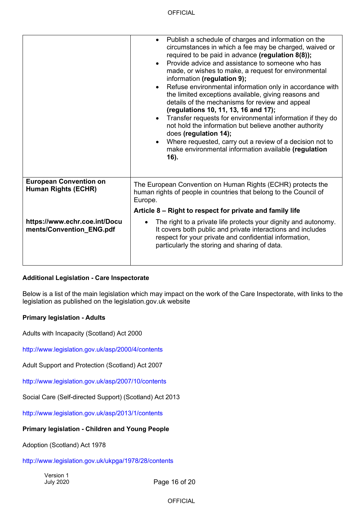|                                                           | Publish a schedule of charges and information on the<br>$\bullet$<br>circumstances in which a fee may be charged, waived or<br>required to be paid in advance (regulation 8(8));<br>Provide advice and assistance to someone who has<br>$\bullet$<br>made, or wishes to make, a request for environmental<br>information (regulation 9);<br>Refuse environmental information only in accordance with<br>$\bullet$<br>the limited exceptions available, giving reasons and<br>details of the mechanisms for review and appeal<br>(regulations 10, 11, 13, 16 and 17);<br>Transfer requests for environmental information if they do<br>$\bullet$<br>not hold the information but believe another authority<br>does (regulation 14);<br>Where requested, carry out a review of a decision not to<br>make environmental information available (regulation<br>16). |
|-----------------------------------------------------------|----------------------------------------------------------------------------------------------------------------------------------------------------------------------------------------------------------------------------------------------------------------------------------------------------------------------------------------------------------------------------------------------------------------------------------------------------------------------------------------------------------------------------------------------------------------------------------------------------------------------------------------------------------------------------------------------------------------------------------------------------------------------------------------------------------------------------------------------------------------|
| <b>European Convention on</b>                             | The European Convention on Human Rights (ECHR) protects the                                                                                                                                                                                                                                                                                                                                                                                                                                                                                                                                                                                                                                                                                                                                                                                                    |
| Human Rights (ECHR)                                       | human rights of people in countries that belong to the Council of<br>Europe.                                                                                                                                                                                                                                                                                                                                                                                                                                                                                                                                                                                                                                                                                                                                                                                   |
|                                                           | Article 8 – Right to respect for private and family life                                                                                                                                                                                                                                                                                                                                                                                                                                                                                                                                                                                                                                                                                                                                                                                                       |
| https://www.echr.coe.int/Docu<br>ments/Convention_ENG.pdf | The right to a private life protects your dignity and autonomy.<br>$\bullet$<br>It covers both public and private interactions and includes<br>respect for your private and confidential information,<br>particularly the storing and sharing of data.                                                                                                                                                                                                                                                                                                                                                                                                                                                                                                                                                                                                         |

#### **Additional Legislation - Care Inspectorate**

Below is a list of the main legislation which may impact on the work of the Care Inspectorate, with links to the legislation as published on the legislation.gov.uk website

#### **Primary legislation - Adults**

Adults with Incapacity (Scotland) Act 2000

<http://www.legislation.gov.uk/asp/2000/4/contents>

Adult Support and Protection (Scotland) Act 2007

<http://www.legislation.gov.uk/asp/2007/10/contents>

Social Care (Self-directed Support) (Scotland) Act 2013

<http://www.legislation.gov.uk/asp/2013/1/contents>

#### **Primary legislation - Children and Young People**

Adoption (Scotland) Act 1978

<http://www.legislation.gov.uk/ukpga/1978/28/contents>

Version 1 July 2020

Page 16 of 20

OFFICIAL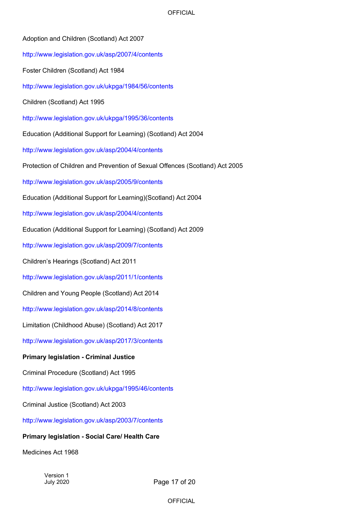| Adoption and Children (Scotland) Act 2007                                    |
|------------------------------------------------------------------------------|
| http://www.legislation.gov.uk/asp/2007/4/contents                            |
| Foster Children (Scotland) Act 1984                                          |
| http://www.legislation.gov.uk/ukpga/1984/56/contents                         |
| Children (Scotland) Act 1995                                                 |
| http://www.legislation.gov.uk/ukpga/1995/36/contents                         |
| Education (Additional Support for Learning) (Scotland) Act 2004              |
| http://www.legislation.gov.uk/asp/2004/4/contents                            |
| Protection of Children and Prevention of Sexual Offences (Scotland) Act 2005 |
| http://www.legislation.gov.uk/asp/2005/9/contents                            |
| Education (Additional Support for Learning)(Scotland) Act 2004               |
| http://www.legislation.gov.uk/asp/2004/4/contents                            |
| Education (Additional Support for Learning) (Scotland) Act 2009              |
| http://www.legislation.gov.uk/asp/2009/7/contents                            |
| Children's Hearings (Scotland) Act 2011                                      |
| http://www.legislation.gov.uk/asp/2011/1/contents                            |
| Children and Young People (Scotland) Act 2014                                |
| http://www.legislation.gov.uk/asp/2014/8/contents                            |
| Limitation (Childhood Abuse) (Scotland) Act 2017                             |
| http://www.legislation.gov.uk/asp/2017/3/contents                            |
| <b>Primary legislation - Criminal Justice</b>                                |
| Criminal Procedure (Scotland) Act 1995                                       |
| http://www.legislation.gov.uk/ukpga/1995/46/contents                         |
| Criminal Justice (Scotland) Act 2003                                         |
| http://www.legislation.gov.uk/asp/2003/7/contents                            |
| <b>Primary legislation - Social Care/ Health Care</b>                        |

Medicines Act 1968

Version 1 July 2020

Page 17 of 20

OFFICIAL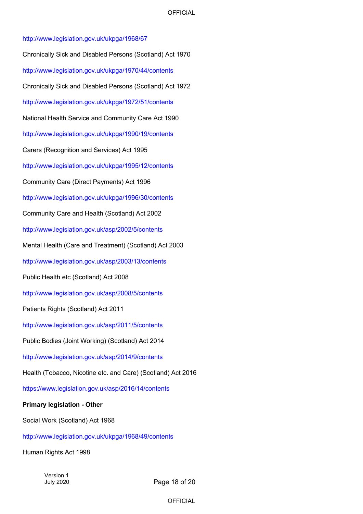<http://www.legislation.gov.uk/ukpga/1968/67> Chronically Sick and Disabled Persons (Scotland) Act 1970 <http://www.legislation.gov.uk/ukpga/1970/44/contents> Chronically Sick and Disabled Persons (Scotland) Act 1972 <http://www.legislation.gov.uk/ukpga/1972/51/contents> National Health Service and Community Care Act 1990 <http://www.legislation.gov.uk/ukpga/1990/19/contents> Carers (Recognition and Services) Act 1995 <http://www.legislation.gov.uk/ukpga/1995/12/contents> Community Care (Direct Payments) Act 1996 <http://www.legislation.gov.uk/ukpga/1996/30/contents> Community Care and Health (Scotland) Act 2002 <http://www.legislation.gov.uk/asp/2002/5/contents> Mental Health (Care and Treatment) (Scotland) Act 2003 <http://www.legislation.gov.uk/asp/2003/13/contents> Public Health etc (Scotland) Act 2008 <http://www.legislation.gov.uk/asp/2008/5/contents> Patients Rights (Scotland) Act 2011 <http://www.legislation.gov.uk/asp/2011/5/contents> Public Bodies (Joint Working) (Scotland) Act 2014 [http://www.legislation.gov.uk/asp/2014/9/contents](http://www.legislation.gov.uk/asp/2014/9/contents/enacted) Health (Tobacco, Nicotine etc. and Care) (Scotland) Act 2016 https://www.legislation.gov.uk/asp/2016/14/contents

### **Primary legislation - Other**

Social Work (Scotland) Act 1968

<http://www.legislation.gov.uk/ukpga/1968/49/contents>

Human Rights Act 1998

Version 1 July 2020

Page 18 of 20

**OFFICIAL**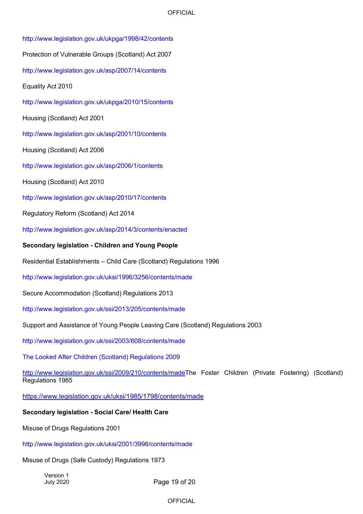<http://www.legislation.gov.uk/ukpga/1998/42/contents> Protection of Vulnerable Groups (Scotland) Act 2007 <http://www.legislation.gov.uk/asp/2007/14/contents> Equality Act 2010 <http://www.legislation.gov.uk/ukpga/2010/15/contents> Housing (Scotland) Act 2001 <http://www.legislation.gov.uk/asp/2001/10/contents> Housing (Scotland) Act 2006 <http://www.legislation.gov.uk/asp/2006/1/contents> Housing (Scotland) Act 2010 <http://www.legislation.gov.uk/asp/2010/17/contents> Regulatory Reform (Scotland) Act 2014 <http://www.legislation.gov.uk/asp/2014/3/contents/enacted> **Secondary legislation - Children and Young People** Residential Establishments – Child Care (Scotland) Regulations 1996 <http://www.legislation.gov.uk/uksi/1996/3256/contents/made> Secure Accommodation (Scotland) Regulations 2013 <http://www.legislation.gov.uk/ssi/2013/205/contents/made> Support and Assistance of Young People Leaving Care (Scotland) Regulations 2003 <http://www.legislation.gov.uk/ssi/2003/608/contents/made> The Looked After Children (Scotland) Regulations 2009 [http://www.legislation.gov.uk/ssi/2009/210/contents/madeT](http://www.legislation.gov.uk/ssi/2009/210/contents/made)he Foster Children (Private Fostering) (Scotland) Regulations 1985 <https://www.legislation.gov.uk/uksi/1985/1798/contents/made> **Secondary legislation - Social Care/ Health Care** Misuse of Drugs Regulations 2001

<http://www.legislation.gov.uk/uksi/2001/3998/contents/made>

Misuse of Drugs (Safe Custody) Regulations 1973

Version 1 July 2020

Page 19 of 20